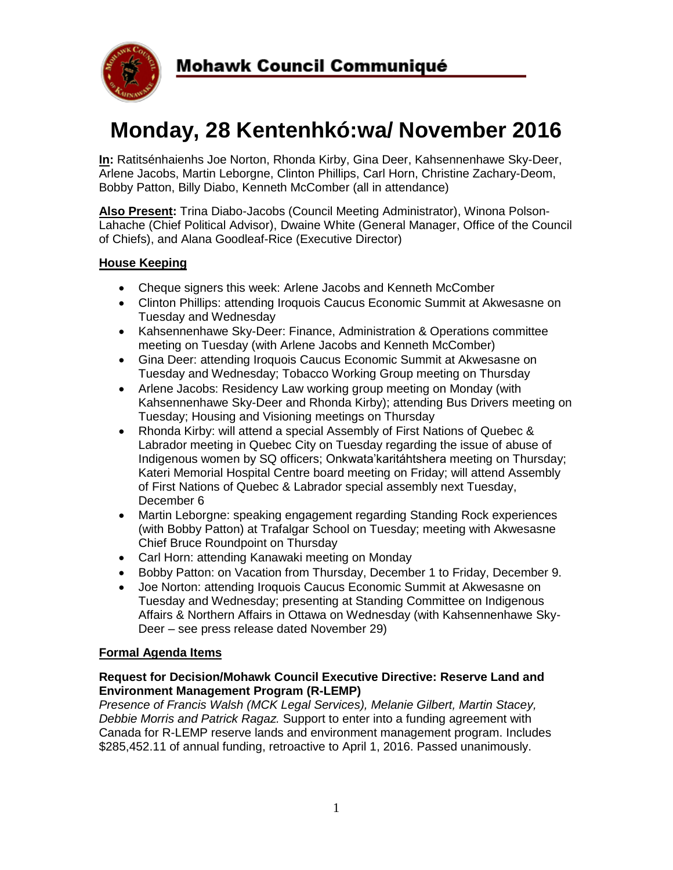

# **Monday, 28 Kentenhkó:wa/ November 2016**

**In:** Ratitsénhaienhs Joe Norton, Rhonda Kirby, Gina Deer, Kahsennenhawe Sky-Deer, Arlene Jacobs, Martin Leborgne, Clinton Phillips, Carl Horn, Christine Zachary-Deom, Bobby Patton, Billy Diabo, Kenneth McComber (all in attendance)

**Also Present:** Trina Diabo-Jacobs (Council Meeting Administrator), Winona Polson-Lahache (Chief Political Advisor), Dwaine White (General Manager, Office of the Council of Chiefs), and Alana Goodleaf-Rice (Executive Director)

# **House Keeping**

- Cheque signers this week: Arlene Jacobs and Kenneth McComber
- Clinton Phillips: attending Iroquois Caucus Economic Summit at Akwesasne on Tuesday and Wednesday
- Kahsennenhawe Sky-Deer: Finance, Administration & Operations committee meeting on Tuesday (with Arlene Jacobs and Kenneth McComber)
- Gina Deer: attending Iroquois Caucus Economic Summit at Akwesasne on Tuesday and Wednesday; Tobacco Working Group meeting on Thursday
- Arlene Jacobs: Residency Law working group meeting on Monday (with Kahsennenhawe Sky-Deer and Rhonda Kirby); attending Bus Drivers meeting on Tuesday; Housing and Visioning meetings on Thursday
- Rhonda Kirby: will attend a special Assembly of First Nations of Quebec & Labrador meeting in Quebec City on Tuesday regarding the issue of abuse of Indigenous women by SQ officers; Onkwata'karitáhtshera meeting on Thursday; Kateri Memorial Hospital Centre board meeting on Friday; will attend Assembly of First Nations of Quebec & Labrador special assembly next Tuesday, December 6
- Martin Leborgne: speaking engagement regarding Standing Rock experiences (with Bobby Patton) at Trafalgar School on Tuesday; meeting with Akwesasne Chief Bruce Roundpoint on Thursday
- Carl Horn: attending Kanawaki meeting on Monday
- Bobby Patton: on Vacation from Thursday, December 1 to Friday, December 9.
- Joe Norton: attending Iroquois Caucus Economic Summit at Akwesasne on Tuesday and Wednesday; presenting at Standing Committee on Indigenous Affairs & Northern Affairs in Ottawa on Wednesday (with Kahsennenhawe Sky-Deer – see press release dated November 29)

### **Formal Agenda Items**

#### **Request for Decision/Mohawk Council Executive Directive: Reserve Land and Environment Management Program (R-LEMP)**

*Presence of Francis Walsh (MCK Legal Services), Melanie Gilbert, Martin Stacey, Debbie Morris and Patrick Ragaz.* Support to enter into a funding agreement with Canada for R-LEMP reserve lands and environment management program. Includes \$285,452.11 of annual funding, retroactive to April 1, 2016. Passed unanimously.